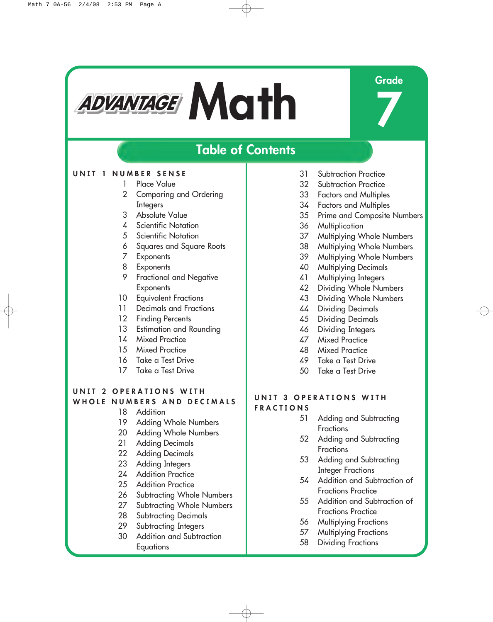# **Mathematical Mathematical Crade**

**7**

## **Table of Contents**

### **UNIT 1 NUMBER SENSE**

- 1 Place Value
- 2 Comparing and Ordering **Integers**
- 3 Absolute Value
- 4 Scientific Notation
- 5 Scientific Notation
- 6 Squares and Square Roots
- 7 Exponents
- 8 Exponents
- 9 Fractional and Negative **Exponents**
- 10 Equivalent Fractions
- 11 Decimals and Fractions
- 12 Finding Percents
- 13 Estimation and Rounding
- 14 Mixed Practice
- 15 Mixed Practice
- 16 Take a Test Drive
- 17 Take a Test Drive

#### **UNIT 2 OPERATIONS WITH WHOLE NUMBERS AND DECIMALS**

- 18 Addition
- 19 Adding Whole Numbers
- 20 Adding Whole Numbers
- 21 Adding Decimals
- 22 Adding Decimals
- 23 Adding Integers
- 24 Addition Practice
- 25 Addition Practice
- 26 Subtracting Whole Numbers
- 27 Subtracting Whole Numbers
- 28 Subtracting Decimals
- 29 Subtracting Integers
- 30 Addition and Subtraction **Equations**
- 31 Subtraction Practice
- 32 Subtraction Practice
- 33 Factors and Multiples
- 34 Factors and Multiples
- 35 Prime and Composite Numbers
- 36 Multiplication
- 37 Multiplying Whole Numbers
- 38 Multiplying Whole Numbers
- 39 Multiplying Whole Numbers
- 40 Multiplying Decimals
- 41 Multiplying Integers
- 42 Dividing Whole Numbers
- 43 Dividing Whole Numbers
- 44 Dividing Decimals
- 45 Dividing Decimals
- 46 Dividing Integers
- 47 Mixed Practice
- 48 Mixed Practice
- 49 Take a Test Drive
- 50 Take a Test Drive

#### **UNIT 3 OPERATIONS WITH FRACTIONS**

- 51 Adding and Subtracting **Fractions**
- 52 Adding and Subtracting Fractions
- 53 Adding and Subtracting Integer Fractions
- 54 Addition and Subtraction of Fractions Practice
- 55 Addition and Subtraction of Fractions Practice
- 56 Multiplying Fractions
- 57 Multiplying Fractions
- 58 Dividing Fractions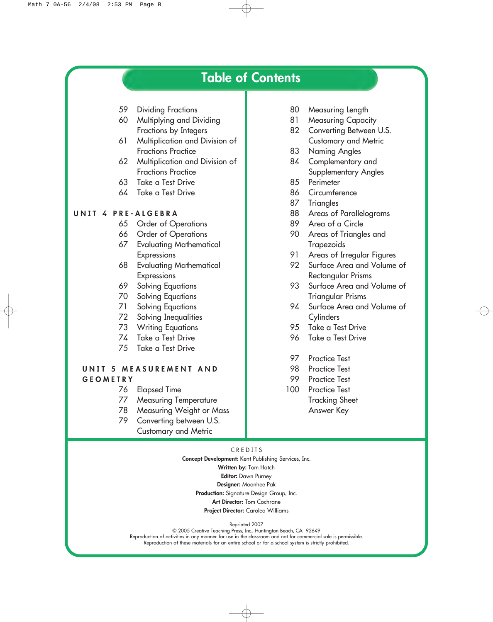## **Table of Contents**

- 59 Dividing Fractions
- 60 Multiplying and Dividing Fractions by Integers
- 61 Multiplication and Division of Fractions Practice
- 62 Multiplication and Division of Fractions Practice
- 63 Take a Test Drive
- 64 Take a Test Drive

#### **UNIT 4 PRE-ALGEBRA**

- 65 Order of Operations
- 66 Order of Operations
- 67 Evaluating Mathematical Expressions
- 68 Evaluating Mathematical **Expressions**
- 69 Solving Equations
- 70 Solving Equations
- 71 Solving Equations
- 72 Solving Inequalities
- 73 Writing Equations
- 74 Take a Test Drive
- 75 Take a Test Drive

#### **UNIT 5 MEASUREMENT AND GEOMETRY**

- 76 Elapsed Time
- 77 Measuring Temperature
- 78 Measuring Weight or Mass
- 79 Converting between U.S. Customary and Metric
- 80 Measuring Length
- 81 Measuring Capacity
- 82 Converting Between U.S. Customary and Metric
- 83 Naming Angles
- 84 Complementary and Supplementary Angles
- 85 Perimeter
- 86 Circumference
- 87 Triangles
- 88 Areas of Parallelograms
- 89 Area of a Circle
- 90 Areas of Triangles and **Trapezoids**
- 91 Areas of Irregular Figures
- 92 Surface Area and Volume of Rectangular Prisms
- 93 Surface Area and Volume of Triangular Prisms
- 94 Surface Area and Volume of **Cylinders**
- 95 Take a Test Drive
- 96 Take a Test Drive
- 97 Practice Test
- 98 Practice Test
- 99 Practice Test
- 100 Practice Test Tracking Sheet Answer Key

#### CREDITS

**Concept Development:** Kent Publishing Services, Inc. **Written by:** Tom Hatch **Editor:** Dawn Purney **Designer:** Moonhee Pak **Production:** Signature Design Group, Inc. **Art Director:** Tom Cochrane **Project Director:** Carolea Williams

Reprinted 2007

© 2005 Creative Teaching Press, Inc., Huntington Beach, CA 92649 Reproduction of activities in any manner for use in the classroom and not for commercial sale is permissible. Reproduction of these materials for an entire school or for a school system is strictly prohibited.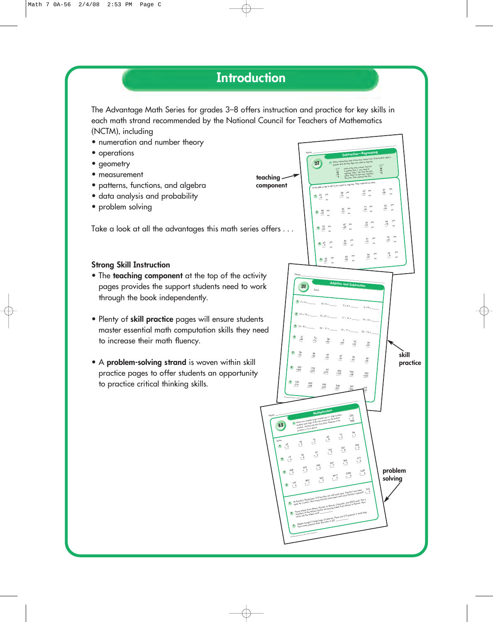## **Introduction**

The Advantage Math Series for grades 3–8 offers instruction and practice for key skills in each math strand recommended by the National Council for Teachers of Mathematics (NCTM), including

- numeration and number theory
- operations
- geometry
- measurement
- patterns, functions, and algebra
- data analysis and probability
- problem solving

Take a look at all the advantages this math series offers . . .

#### **Strong Skill Instruction**

- The **teaching component** at the top of the activity pages provides the support students need to work through the book independently.
- Plenty of **skill practice** pages will ensure students master essential math computation skills they need to increase their math fluency.
- A **problem-solving strand** is woven within skill practice pages to offer students an opportunity to practice critical thinking skills.

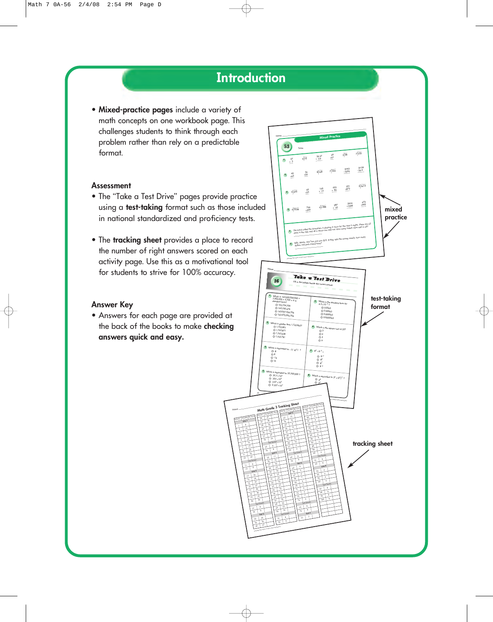## **Introduction**

• **Mixed-practice pages** include a variety of math concepts on one workbook page. This challenges students to think through each problem rather than rely on a predictable format.

#### **Assessment**

- The "Take a Test Drive" pages provide practice using a **test-taking** format such as those included in national standardized and proficiency tests.
- The **tracking sheet** provides a place to record the number of right answers scored on each activity page. Use this as a motivational tool for students to strive for 100% accuracy.

#### **Answer Key**

• Answers for each page are provided at the back of the books to make **checking answers quick and easy.**

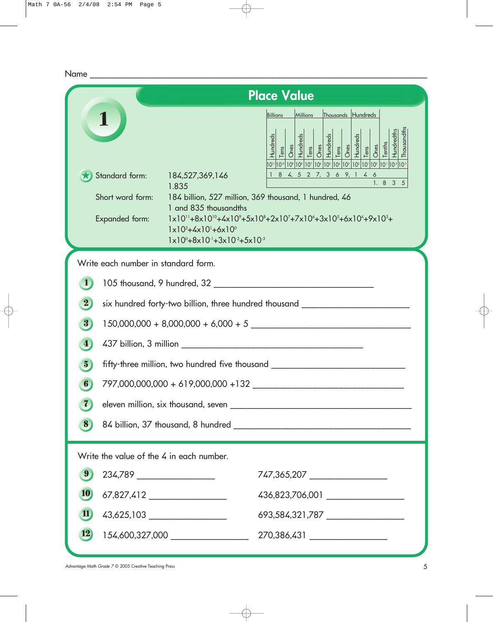|                                                                                                             | <b>Place Value</b>                                                                                                                                                                                                                                                                                                                                                                                                                                                                                                                                                                                                                                                                                                                                                                                                                                                                          |  |
|-------------------------------------------------------------------------------------------------------------|---------------------------------------------------------------------------------------------------------------------------------------------------------------------------------------------------------------------------------------------------------------------------------------------------------------------------------------------------------------------------------------------------------------------------------------------------------------------------------------------------------------------------------------------------------------------------------------------------------------------------------------------------------------------------------------------------------------------------------------------------------------------------------------------------------------------------------------------------------------------------------------------|--|
| Standard form: 184,527,369,146<br>Short word form:<br>Expanded form:                                        | Thousands Hundreds<br>Millions<br>Billions<br>Thousandth<br>$\begin{tabular}{ c c c c c } \hline Hundreds \\ \hline Tens & & & \\ \hline Dens & & & \\ \hline Iens & & & \\ \hline Iens & & & \\ \hline Iens & & & \\ \hline & & & \\ \hline & & & \\ \hline & & & \\ \hline & & & \\ \hline & & & \\ \hline & & & \\ \hline & & & \\ \hline & & & \\ \hline & & & \\ \hline & & & \\ \hline & & & \\ \hline & & & \\ \hline & & & \\ \hline & & & \\ \hline & & & \\ \hline & & & \\ \hline & & & \\ \hline & & & \\ \hline & & & \\ \hline & & & \\ \hline & & & \\ \hline$<br>1 8 4, 5 2 7, 3 6 9, 1 4 6<br>1. 8 3 5<br>1.835<br>184 billion, 527 million, 369 thousand, 1 hundred, 46<br>1 and 835 thousandths<br>$1 \times 10^{11} + 8 \times 10^{10} + 4 \times 10^{9} + 5 \times 10^{8} + 2 \times 10^{7} + 7 \times 10^{6} + 3 \times 10^{5} + 6 \times 10^{4} + 9 \times 10^{3} +$ |  |
|                                                                                                             | $1 \times 10^{2} + 4 \times 10^{1} + 6 \times 10^{0}$<br>$1 \times 10^{0} + 8 \times 10^{1} + 3 \times 10^{2} + 5 \times 10^{3}$                                                                                                                                                                                                                                                                                                                                                                                                                                                                                                                                                                                                                                                                                                                                                            |  |
| Write each number in standard form.                                                                         |                                                                                                                                                                                                                                                                                                                                                                                                                                                                                                                                                                                                                                                                                                                                                                                                                                                                                             |  |
|                                                                                                             |                                                                                                                                                                                                                                                                                                                                                                                                                                                                                                                                                                                                                                                                                                                                                                                                                                                                                             |  |
| $\overline{\mathbf{2}}$                                                                                     | six hundred forty-two billion, three hundred thousand __________________________                                                                                                                                                                                                                                                                                                                                                                                                                                                                                                                                                                                                                                                                                                                                                                                                            |  |
| 3                                                                                                           | $150,000,000 + 8,000,000 + 6,000 + 5$                                                                                                                                                                                                                                                                                                                                                                                                                                                                                                                                                                                                                                                                                                                                                                                                                                                       |  |
| $\vert \mathbf{4} \vert$                                                                                    |                                                                                                                                                                                                                                                                                                                                                                                                                                                                                                                                                                                                                                                                                                                                                                                                                                                                                             |  |
| $\overline{\mathbf{5}}$<br>fifty-three million, two hundred five thousand _________________________________ |                                                                                                                                                                                                                                                                                                                                                                                                                                                                                                                                                                                                                                                                                                                                                                                                                                                                                             |  |
| 6                                                                                                           |                                                                                                                                                                                                                                                                                                                                                                                                                                                                                                                                                                                                                                                                                                                                                                                                                                                                                             |  |
|                                                                                                             |                                                                                                                                                                                                                                                                                                                                                                                                                                                                                                                                                                                                                                                                                                                                                                                                                                                                                             |  |
| $\vert 8 \rangle$                                                                                           |                                                                                                                                                                                                                                                                                                                                                                                                                                                                                                                                                                                                                                                                                                                                                                                                                                                                                             |  |
| Write the value of the 4 in each number.                                                                    |                                                                                                                                                                                                                                                                                                                                                                                                                                                                                                                                                                                                                                                                                                                                                                                                                                                                                             |  |
| $\vert 9 \rangle$<br>234,789 ____________________                                                           | 747,365,207 _________________                                                                                                                                                                                                                                                                                                                                                                                                                                                                                                                                                                                                                                                                                                                                                                                                                                                               |  |
| <b>10</b>                                                                                                   | 436,823,706,001 ___________________                                                                                                                                                                                                                                                                                                                                                                                                                                                                                                                                                                                                                                                                                                                                                                                                                                                         |  |
| $\mathbf{11}$                                                                                               | 43,625,103 ____________________<br>693,584,321,787 _________________                                                                                                                                                                                                                                                                                                                                                                                                                                                                                                                                                                                                                                                                                                                                                                                                                        |  |
| 12                                                                                                          | 154,600,327,000 ___________________<br>270,386,431 __________________                                                                                                                                                                                                                                                                                                                                                                                                                                                                                                                                                                                                                                                                                                                                                                                                                       |  |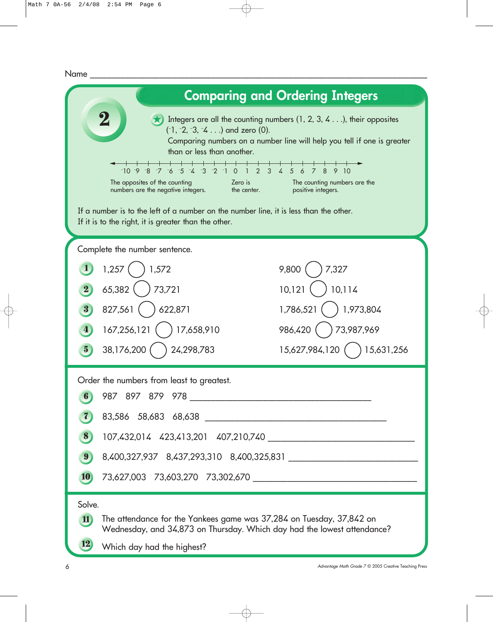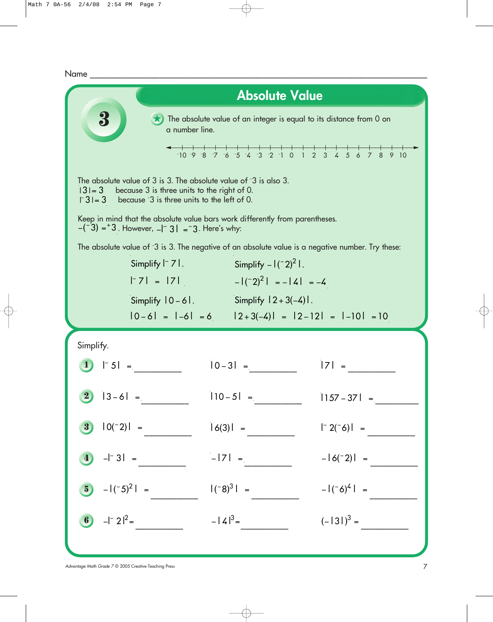

*Advantage Math Grade 7* © 2005 Creative Teaching Press